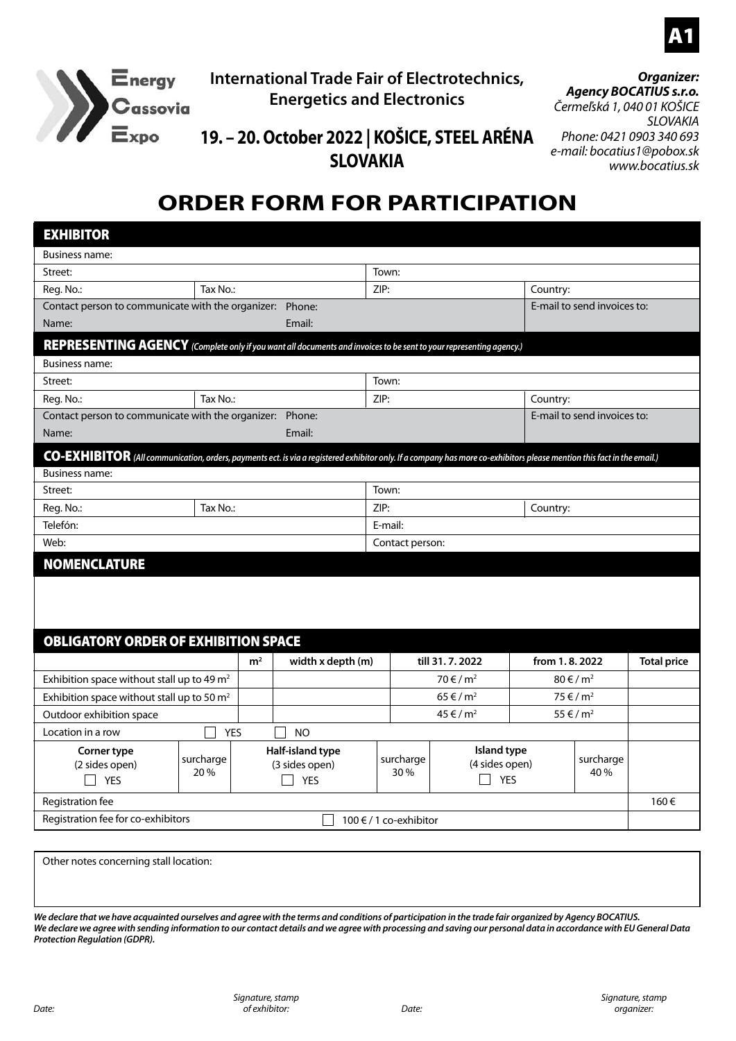



#### **International Trade Fair of Electrotechnics, Energetics and Electronics**

#### *Organizer: Agency BOCATIUS s.r.o. Čermeľská 1, 040 01 KOŠICE*

*SLOVAKIA Phone: 0421 0903 340 693 e-mail: bocatius1@pobox.sk www.bocatius.sk*

#### **19. – 20. October 2022 | KOŠICE, STEEL ARÉNA SLOVAKIA**

### **ORDER FORM FOR PARTICIPATION**

| <b>EXHIBITOR</b>                                                                                                                                                       |            |                                    |                   |                  |                               |                                  |                                  |                    |  |
|------------------------------------------------------------------------------------------------------------------------------------------------------------------------|------------|------------------------------------|-------------------|------------------|-------------------------------|----------------------------------|----------------------------------|--------------------|--|
| Business name:                                                                                                                                                         |            |                                    |                   |                  |                               |                                  |                                  |                    |  |
| Street:                                                                                                                                                                |            |                                    |                   | Town:            |                               |                                  |                                  |                    |  |
| Reg. No.:                                                                                                                                                              | Tax No.:   |                                    |                   | ZIP:<br>Country: |                               |                                  |                                  |                    |  |
| Contact person to communicate with the organizer: Phone:                                                                                                               |            |                                    |                   |                  |                               | E-mail to send invoices to:      |                                  |                    |  |
| Name:                                                                                                                                                                  |            |                                    | Email:            |                  |                               |                                  |                                  |                    |  |
| REPRESENTING AGENCY (Complete only if you want all documents and invoices to be sent to your representing agency.)                                                     |            |                                    |                   |                  |                               |                                  |                                  |                    |  |
| Business name:                                                                                                                                                         |            |                                    |                   |                  |                               |                                  |                                  |                    |  |
| Street:                                                                                                                                                                |            |                                    |                   | Town:            |                               |                                  |                                  |                    |  |
| Reg. No.:                                                                                                                                                              | Tax No.:   |                                    |                   | ZIP:<br>Country: |                               |                                  |                                  |                    |  |
| Contact person to communicate with the organizer: Phone:                                                                                                               |            |                                    |                   |                  |                               |                                  | E-mail to send invoices to:      |                    |  |
| Name:                                                                                                                                                                  |            |                                    | Email:            |                  |                               |                                  |                                  |                    |  |
| CO-EXHIBITOR (All communication, orders, payments ect. is via a registered exhibitor only. If a company has more co-exhibitors please mention this fact in the email.) |            |                                    |                   |                  |                               |                                  |                                  |                    |  |
| <b>Business name:</b>                                                                                                                                                  |            |                                    |                   |                  |                               |                                  |                                  |                    |  |
| Street:                                                                                                                                                                |            |                                    |                   | Town:            |                               |                                  |                                  |                    |  |
| Reg. No.:                                                                                                                                                              | Tax No.:   |                                    |                   | ZIP:<br>Country: |                               |                                  |                                  |                    |  |
| Telefón:                                                                                                                                                               |            |                                    |                   | E-mail:          |                               |                                  |                                  |                    |  |
| Web:                                                                                                                                                                   |            |                                    |                   | Contact person:  |                               |                                  |                                  |                    |  |
| <b>NOMENCLATURE</b>                                                                                                                                                    |            |                                    |                   |                  |                               |                                  |                                  |                    |  |
|                                                                                                                                                                        |            |                                    |                   |                  |                               |                                  |                                  |                    |  |
|                                                                                                                                                                        |            |                                    |                   |                  |                               |                                  |                                  |                    |  |
| <b>OBLIGATORY ORDER OF EXHIBITION SPACE</b>                                                                                                                            |            |                                    |                   |                  |                               |                                  |                                  |                    |  |
|                                                                                                                                                                        |            |                                    |                   |                  |                               |                                  |                                  |                    |  |
|                                                                                                                                                                        |            | m <sup>2</sup>                     | width x depth (m) | till 31, 7, 2022 |                               | from 1, 8, 2022                  |                                  | <b>Total price</b> |  |
| Exhibition space without stall up to 49 m <sup>2</sup>                                                                                                                 |            |                                    |                   | $70 \in / m^2$   |                               | $80 \text{ } \in / \text{ } m^2$ |                                  |                    |  |
| Exhibition space without stall up to 50 m <sup>2</sup>                                                                                                                 |            |                                    |                   |                  | $65 \in / m^2$                |                                  | $75 \in / m^2$<br>$55 \in / m^2$ |                    |  |
| Outdoor exhibition space                                                                                                                                               |            |                                    | $45 \in / m^2$    |                  |                               |                                  |                                  |                    |  |
| Location in a row                                                                                                                                                      | <b>YES</b> |                                    | <b>NO</b>         |                  |                               |                                  |                                  |                    |  |
| Corner type<br>surcharge<br>(2 sides open)                                                                                                                             |            | Half-island type<br>(3 sides open) |                   | surcharge        | Island type<br>(4 sides open) |                                  | surcharge                        |                    |  |
| ٦<br><b>YES</b>                                                                                                                                                        | 20 %       | $\Box$<br><b>YES</b>               |                   | 30 %             | $\Box$ YES                    |                                  | 40 %                             |                    |  |
| Registration fee                                                                                                                                                       |            |                                    |                   |                  |                               |                                  |                                  | 160€               |  |
| Registration fee for co-exhibitors<br>100 € / 1 co-exhibitor                                                                                                           |            |                                    |                   |                  |                               |                                  |                                  |                    |  |
|                                                                                                                                                                        |            |                                    |                   |                  |                               |                                  |                                  |                    |  |

Other notes concerning stall location:

*We declare that we have acquainted ourselves and agree with the terms and conditions of participation in the trade fair organized by Agency BOCATIUS. We declare we agree with sending information to our contact details and we agree with processing and saving our personal data in accordance with EU General Data Protection Regulation (GDPR).*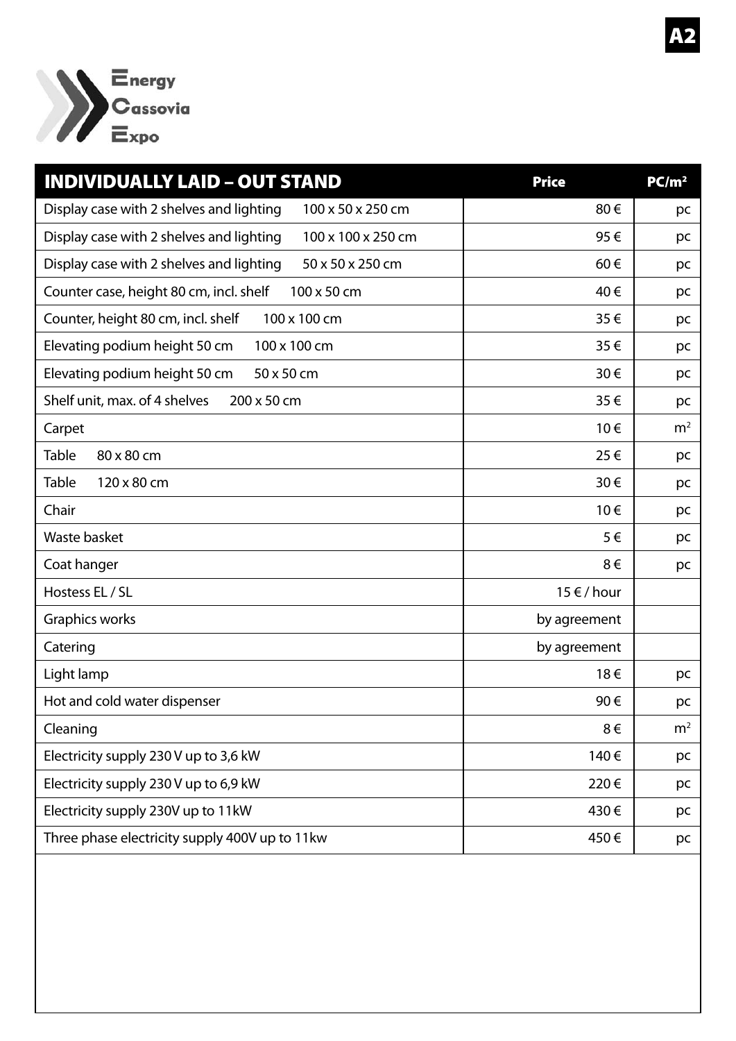

| <b>INDIVIDUALLY LAID - OUT STAND</b>                           | <b>Price</b>    | PC/m <sup>2</sup> |
|----------------------------------------------------------------|-----------------|-------------------|
| Display case with 2 shelves and lighting<br>100 x 50 x 250 cm  | 80€             | pc                |
| Display case with 2 shelves and lighting<br>100 x 100 x 250 cm | 95€             | pc                |
| Display case with 2 shelves and lighting<br>50 x 50 x 250 cm   | 60€             | pc                |
| Counter case, height 80 cm, incl. shelf<br>100 x 50 cm         | 40€             | pc                |
| Counter, height 80 cm, incl. shelf<br>100 x 100 cm             | 35€             | pc                |
| Elevating podium height 50 cm<br>100 x 100 cm                  | 35€             | pc                |
| Elevating podium height 50 cm<br>50 x 50 cm                    | 30€             | pc                |
| Shelf unit, max. of 4 shelves<br>200 x 50 cm                   | 35€             | pc                |
| Carpet                                                         | 10€             | m <sup>2</sup>    |
| <b>Table</b><br>80 x 80 cm                                     | 25€             | pc                |
| <b>Table</b><br>120 x 80 cm                                    | 30€             | pc                |
| Chair                                                          | 10€             | pc                |
| Waste basket                                                   | 5€              | pc                |
| Coat hanger                                                    | 8€              | pc                |
| Hostess EL / SL                                                | $15 \in /$ hour |                   |
| Graphics works                                                 | by agreement    |                   |
| Catering                                                       | by agreement    |                   |
| Light lamp                                                     | 18€             | pc                |
| Hot and cold water dispenser                                   | 90€             | pc                |
| Cleaning                                                       | $8 \in$         | m <sup>2</sup>    |
| Electricity supply 230 V up to 3,6 kW                          | 140€            | pc                |
| Electricity supply 230 V up to 6,9 kW                          | 220€            | pc                |
| Electricity supply 230V up to 11kW                             | 430€            | pc                |
| Three phase electricity supply 400V up to 11kw                 | 450€            | pc                |
|                                                                |                 |                   |